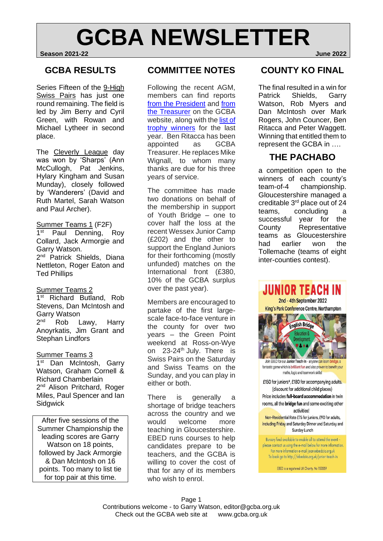## **GCBA NEWSLETTER Season 2021-22 June 2022**

### **GCBA RESULTS**

Series Fifteen of the 9-High Swiss Pairs has just one round remaining. The field is led by Jim Berry and Cyril Green, with Rowan and Michael Lytheer in second place.

The Cleverly League day was won by 'Sharps' (Ann McCullogh, Pat Jenkins, Hylary Kingham and Susan Munday), closely followed by 'Wanderers' (David and Ruth Martel, Sarah Watson and Paul Archer).

#### Summer Teams 1 (F2F)

1<sup>st</sup> Paul Denning, Roy Collard, Jack Armorgie and Garry Watson. 2<sup>nd</sup> Patrick Shields, Diana Nettleton, Roger Eaton and Ted Phillips

#### Summer Teams 2

1<sup>st</sup> Richard Butland, Rob Stevens, Dan McIntosh and Garry Watson  $2<sub>nd</sub>$ Rob Lawy, Harry Anoyrkatis, Jim Grant and Stephan Lindfors

#### Summer Teams 3

1<sup>st</sup> Dan McIntosh, Garry Watson, Graham Cornell & Richard Chamberlain 2<sup>nd</sup> Alison Pritchard, Roger Miles, Paul Spencer and Ian **Sidgwick** 

After five sessions of the Summer Championship the leading scores are Garry Watson on 18 points, followed by Jack Armorgie & Dan McIntosh on 16 points. Too many to list tie for top pair at this time.

## **COMMITTEE NOTES**

Following the recent AGM, members can find reports [from the President](https://www.bridgewebs.com/gloucestershire/AGM-2022-presidents-report.pdf) and [from](https://www.bridgewebs.com/gloucestershire/GCBA-accounts-2022.pdf)  the [Treasurer](https://www.bridgewebs.com/gloucestershire/GCBA-accounts-2022.pdf) on the GCBA website, along with the list of [trophy winners](https://www.bridgewebs.com/gloucestershire/GCBA-accounts-2022.pdf) for the last year. Ben Ritacca has been appointed as GCBA Treasurer. He replaces Mike Wignall, to whom many thanks are due for his three years of service.

The committee has made two donations on behalf of the membership in support of Youth Bridge – one to cover half the loss at the recent Wessex Junior Camp (£202) and the other to support the England Juniors for their forthcoming (mostly unfunded) matches on the International front (£380, 10% of the GCBA surplus over the past year).

Members are encouraged to partake of the first largescale face-to-face venture in the county for over two years – the Green Point weekend at Ross-on-Wye on 23-24<sup>th</sup> July. There is Swiss Pairs on the Saturday and Swiss Teams on the Sunday, and you can play in either or both.

There is generally a shortage of bridge teachers across the country and we would welcome more teaching in Gloucestershire. EBED runs courses to help candidates prepare to be teachers, and the GCBA is willing to cover the cost of that for any of its members who wish to enrol.

## **COUNTY KO FINAL**

The final resulted in a win for Patrick Shields, Garry Watson, Rob Myers and Dan McIntosh over Mark Rogers, John Councer, Ben Ritacca and Peter Waggett. Winning that entitled them to represent the GCBA in ….

## **THE PACHABO**

a competition open to the winners of each county's team-of-4 championship. Gloucestershire managed a creditable 3rd place out of 24 teams, concluding a successful year for the County Representative teams as Gloucestershire had earlier won the Tollemache (teams of eight inter-counties contest).